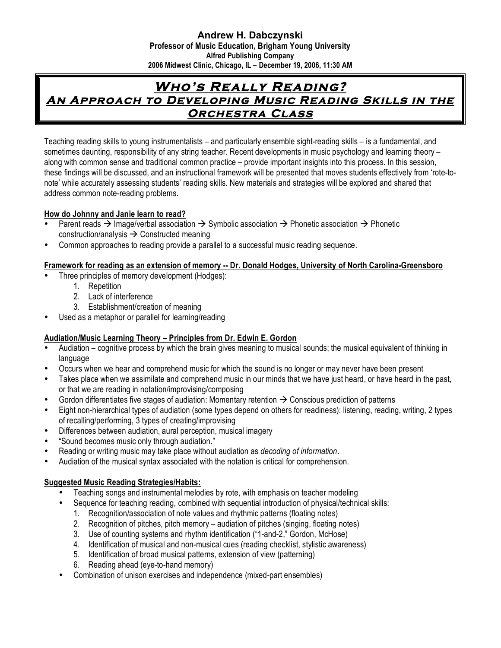#### **Andrew H. Dabczynski Professor of Music Education, Brigham Young University Alfred Publishing Company 2006 Midwest Clinic, Chicago, IL – December 19, 2006, 11:30 AM**

# **Who's Really Reading? An Approach to Developing Music Reading Skills in the Orchestra Class**

Teaching reading skills to young instrumentalists – and particularly ensemble sight-reading skills – is a fundamental, and sometimes daunting, responsibility of any string teacher. Recent developments in music psychology and learning theory – along with common sense and traditional common practice – provide important insights into this process. In this session, these findings will be discussed, and an instructional framework will be presented that moves students effectively from 'rote-tonote' while accurately assessing students' reading skills. New materials and strategies will be explored and shared that address common note-reading problems.

## **How do Johnny and Janie learn to read?**

- Parent reads  $\rightarrow$  Image/verbal association  $\rightarrow$  Symbolic association  $\rightarrow$  Phonetic association  $\rightarrow$  Phonetic construction/analysis  $\rightarrow$  Constructed meaning
- Common approaches to reading provide a parallel to a successful music reading sequence.

## **Framework for reading as an extension of memory -- Dr. Donald Hodges, University of North Carolina-Greensboro**

- Three principles of memory development (Hodges):
	- 1. Repetition
	- 2. Lack of interference
	- 3. Establishment/creation of meaning
- Used as a metaphor or parallel for learning/reading

## **Audiation/Music Learning Theory – Principles from Dr. Edwin E. Gordon**

- Audiation cognitive process by which the brain gives meaning to musical sounds; the musical equivalent of thinking in language
- Occurs when we hear and comprehend music for which the sound is no longer or may never have been present
- Takes place when we assimilate and comprehend music in our minds that we have just heard, or have heard in the past, or that we are reading in notation/improvising/composing
- Gordon differentiates five stages of audiation: Momentary retention  $\rightarrow$  Conscious prediction of patterns
- Eight non-hierarchical types of audiation (some types depend on others for readiness): listening, reading, writing, 2 types of recalling/performing, 3 types of creating/improvising
- Differences between audiation, aural perception, musical imagery
- "Sound becomes music only through audiation."
- Reading or writing music may take place without audiation as *decoding of information*.
- Audiation of the musical syntax associated with the notation is critical for comprehension.

## **Suggested Music Reading Strategies/Habits:**

- Teaching songs and instrumental melodies by rote, with emphasis on teacher modeling
- Sequence for teaching reading, combined with sequential introduction of physical/technical skills:
	- 1. Recognition/association of note values and rhythmic patterns (floating notes)
	- 2. Recognition of pitches, pitch memory audiation of pitches (singing, floating notes)
	- 3. Use of counting systems and rhythm identification ("1-and-2," Gordon, McHose)
	- 4. Identification of musical and non-musical cues (reading checklist, stylistic awareness)
	- 5. Identification of broad musical patterns, extension of view (patterning)
	- 6. Reading ahead (eye-to-hand memory)
- Combination of unison exercises and independence (mixed-part ensembles)